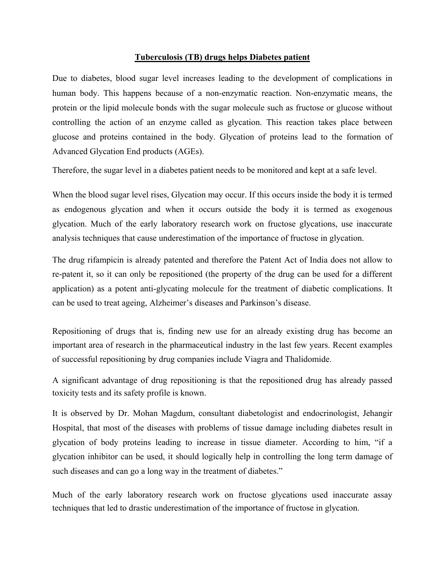## **Tuberculosis (TB) drugs helps Diabetes patient**

Due to diabetes, blood sugar level increases leading to the development of complications in human body. This happens because of a non-enzymatic reaction. Non-enzymatic means, the protein or the lipid molecule bonds with the sugar molecule such as fructose or glucose without controlling the action of an enzyme called as glycation. This reaction takes place between glucose and proteins contained in the body. Glycation of proteins lead to the formation of Advanced Glycation End products (AGEs).

Therefore, the sugar level in a diabetes patient needs to be monitored and kept at a safe level.

When the blood sugar level rises, Glycation may occur. If this occurs inside the body it is termed as endogenous glycation and when it occurs outside the body it is termed as exogenous glycation. Much of the early laboratory research work on fructose glycations, use inaccurate analysis techniques that cause underestimation of the importance of fructose in glycation.

The drug rifampicin is already patented and therefore the Patent Act of India does not allow to re-patent it, so it can only be repositioned (the property of the drug can be used for a different application) as a potent anti-glycating molecule for the treatment of diabetic complications. It can be used to treat ageing, Alzheimer's diseases and Parkinson's disease.

Repositioning of drugs that is, finding new use for an already existing drug has become an important area of research in the pharmaceutical industry in the last few years. Recent examples of successful repositioning by drug companies include Viagra and Thalidomide.

A significant advantage of drug repositioning is that the repositioned drug has already passed toxicity tests and its safety profile is known.

It is observed by Dr. Mohan Magdum, consultant diabetologist and endocrinologist, Jehangir Hospital, that most of the diseases with problems of tissue damage including diabetes result in glycation of body proteins leading to increase in tissue diameter. According to him, "if a glycation inhibitor can be used, it should logically help in controlling the long term damage of such diseases and can go a long way in the treatment of diabetes."

Much of the early laboratory research work on fructose glycations used inaccurate assay techniques that led to drastic underestimation of the importance of fructose in glycation.